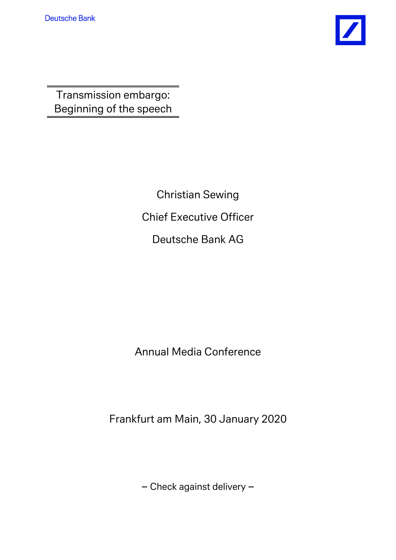

Transmission embargo: Beginning of the speech

> Christian Sewing Chief Executive Officer Deutsche Bank AG

Annual Media Conference

Frankfurt am Main, 30 January 2020

– Check against delivery –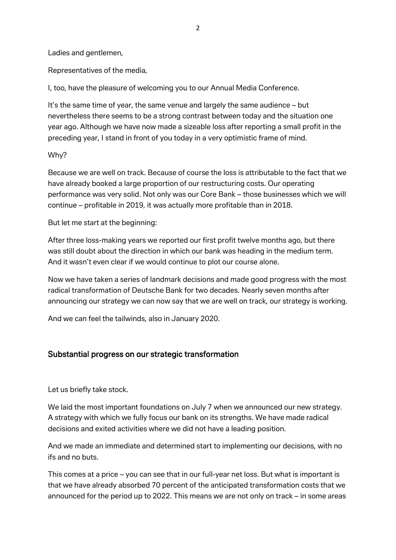Ladies and gentlemen,

Representatives of the media,

I, too, have the pleasure of welcoming you to our Annual Media Conference.

It's the same time of year, the same venue and largely the same audience – but nevertheless there seems to be a strong contrast between today and the situation one year ago. Although we have now made a sizeable loss after reporting a small profit in the preceding year, I stand in front of you today in a very optimistic frame of mind.

#### Why?

Because we are well on track. Because of course the loss is attributable to the fact that we have already booked a large proportion of our restructuring costs. Our operating performance was very solid. Not only was our Core Bank – those businesses which we will continue – profitable in 2019, it was actually more profitable than in 2018.

But let me start at the beginning:

After three loss-making years we reported our first profit twelve months ago, but there was still doubt about the direction in which our bank was heading in the medium term. And it wasn't even clear if we would continue to plot our course alone.

Now we have taken a series of landmark decisions and made good progress with the most radical transformation of Deutsche Bank for two decades. Nearly seven months after announcing our strategy we can now say that we are well on track, our strategy is working.

And we can feel the tailwinds, also in January 2020.

## Substantial progress on our strategic transformation

Let us briefly take stock.

We laid the most important foundations on July 7 when we announced our new strategy. A strategy with which we fully focus our bank on its strengths. We have made radical decisions and exited activities where we did not have a leading position.

And we made an immediate and determined start to implementing our decisions, with no ifs and no buts.

This comes at a price – you can see that in our full-year net loss. But what is important is that we have already absorbed 70 percent of the anticipated transformation costs that we announced for the period up to 2022. This means we are not only on track – in some areas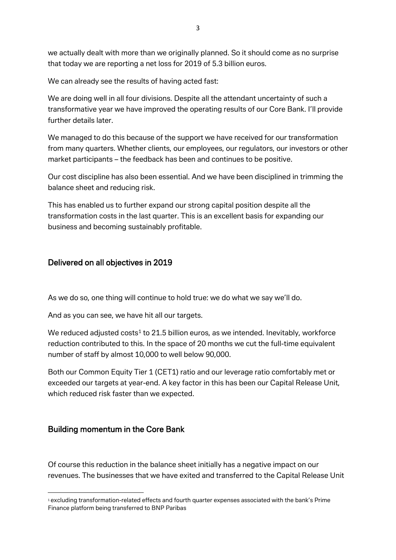we actually dealt with more than we originally planned. So it should come as no surprise that today we are reporting a net loss for 2019 of 5.3 billion euros.

We can already see the results of having acted fast:

We are doing well in all four divisions. Despite all the attendant uncertainty of such a transformative year we have improved the operating results of our Core Bank. I'll provide further details later.

We managed to do this because of the support we have received for our transformation from many quarters. Whether clients, our employees, our regulators, our investors or other market participants – the feedback has been and continues to be positive.

Our cost discipline has also been essential. And we have been disciplined in trimming the balance sheet and reducing risk.

This has enabled us to further expand our strong capital position despite all the transformation costs in the last quarter. This is an excellent basis for expanding our business and becoming sustainably profitable.

## Delivered on all objectives in 2019

As we do so, one thing will continue to hold true: we do what we say we'll do.

And as you can see, we have hit all our targets.

We reduced adjusted costs<sup>[1](#page-2-0)</sup> to 21.5 billion euros, as we intended. Inevitably, workforce reduction contributed to this. In the space of 20 months we cut the full-time equivalent number of staff by almost 10,000 to well below 90,000.

Both our Common Equity Tier 1 (CET1) ratio and our leverage ratio comfortably met or exceeded our targets at year-end. A key factor in this has been our Capital Release Unit, which reduced risk faster than we expected.

## Building momentum in the Core Bank

1

Of course this reduction in the balance sheet initially has a negative impact on our revenues. The businesses that we have exited and transferred to the Capital Release Unit

<span id="page-2-0"></span><sup>1</sup> excluding transformation-related effects and fourth quarter expenses associated with the bank's Prime Finance platform being transferred to BNP Paribas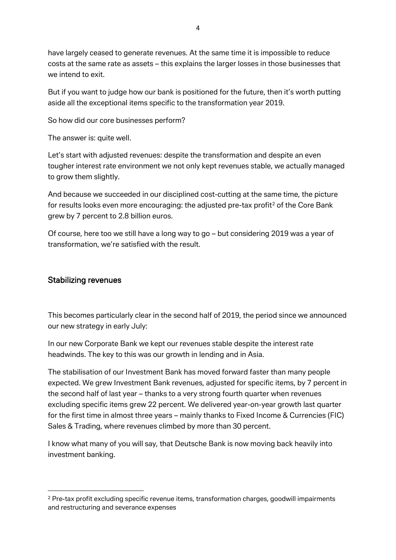have largely ceased to generate revenues. At the same time it is impossible to reduce costs at the same rate as assets – this explains the larger losses in those businesses that we intend to exit.

But if you want to judge how our bank is positioned for the future, then it's worth putting aside all the exceptional items specific to the transformation year 2019.

So how did our core businesses perform?

The answer is: quite well.

Let's start with adjusted revenues: despite the transformation and despite an even tougher interest rate environment we not only kept revenues stable, we actually managed to grow them slightly.

And because we succeeded in our disciplined cost-cutting at the same time, the picture for results looks even more encouraging: the adjusted pre-tax profit<sup>[2](#page-3-0)</sup> of the Core Bank grew by 7 percent to 2.8 billion euros.

Of course, here too we still have a long way to go – but considering 2019 was a year of transformation, we're satisfied with the result.

#### Stabilizing revenues

 $\overline{a}$ 

This becomes particularly clear in the second half of 2019, the period since we announced our new strategy in early July:

In our new Corporate Bank we kept our revenues stable despite the interest rate headwinds. The key to this was our growth in lending and in Asia.

The stabilisation of our Investment Bank has moved forward faster than many people expected. We grew Investment Bank revenues, adjusted for specific items, by 7 percent in the second half of last year – thanks to a very strong fourth quarter when revenues excluding specific items grew 22 percent. We delivered year-on-year growth last quarter for the first time in almost three years – mainly thanks to Fixed Income & Currencies (FIC) Sales & Trading, where revenues climbed by more than 30 percent.

I know what many of you will say, that Deutsche Bank is now moving back heavily into investment banking.

<span id="page-3-0"></span><sup>2</sup> Pre-tax profit excluding specific revenue items, transformation charges, goodwill impairments and restructuring and severance expenses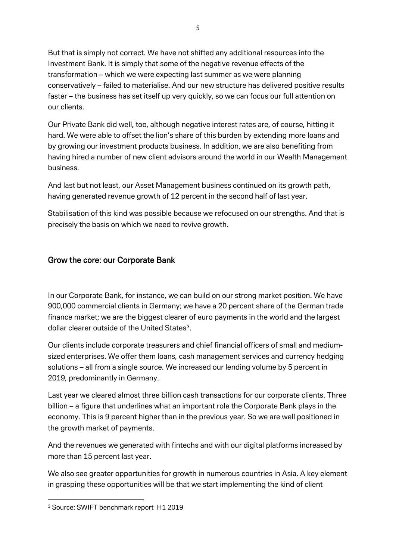But that is simply not correct. We have not shifted any additional resources into the Investment Bank. It is simply that some of the negative revenue effects of the transformation – which we were expecting last summer as we were planning conservatively – failed to materialise. And our new structure has delivered positive results faster – the business has set itself up very quickly, so we can focus our full attention on our clients.

Our Private Bank did well, too, although negative interest rates are, of course, hitting it hard. We were able to offset the lion's share of this burden by extending more loans and by growing our investment products business. In addition, we are also benefiting from having hired a number of new client advisors around the world in our Wealth Management business.

And last but not least, our Asset Management business continued on its growth path, having generated revenue growth of 12 percent in the second half of last year.

Stabilisation of this kind was possible because we refocused on our strengths. And that is precisely the basis on which we need to revive growth.

## Grow the core: our Corporate Bank

In our Corporate Bank, for instance, we can build on our strong market position. We have 900,000 commercial clients in Germany; we have a 20 percent share of the German trade finance market; we are the biggest clearer of euro payments in the world and the largest dollar clearer outside of the United States<sup>3</sup>.

Our clients include corporate treasurers and chief financial officers of small and mediumsized enterprises. We offer them loans, cash management services and currency hedging solutions – all from a single source. We increased our lending volume by 5 percent in 2019, predominantly in Germany.

Last year we cleared almost three billion cash transactions for our corporate clients. Three billion – a figure that underlines what an important role the Corporate Bank plays in the economy. This is 9 percent higher than in the previous year. So we are well positioned in the growth market of payments.

And the revenues we generated with fintechs and with our digital platforms increased by more than 15 percent last year.

We also see greater opportunities for growth in numerous countries in Asia. A key element in grasping these opportunities will be that we start implementing the kind of client

**.** 

<span id="page-4-0"></span><sup>3</sup> Source: SWIFT benchmark report H1 2019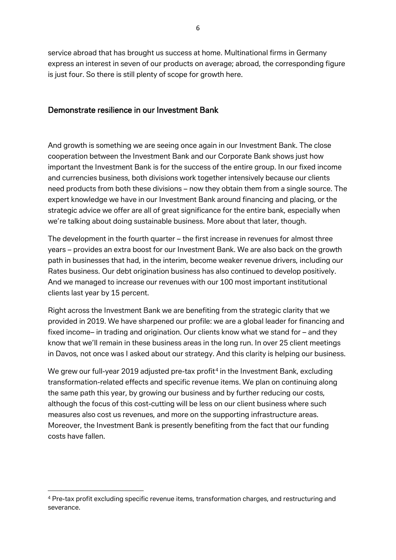service abroad that has brought us success at home. Multinational firms in Germany express an interest in seven of our products on average; abroad, the corresponding figure is just four. So there is still plenty of scope for growth here.

### Demonstrate resilience in our Investment Bank

And growth is something we are seeing once again in our Investment Bank. The close cooperation between the Investment Bank and our Corporate Bank shows just how important the Investment Bank is for the success of the entire group. In our fixed income and currencies business, both divisions work together intensively because our clients need products from both these divisions – now they obtain them from a single source. The expert knowledge we have in our Investment Bank around financing and placing, or the strategic advice we offer are all of great significance for the entire bank, especially when we're talking about doing sustainable business. More about that later, though.

The development in the fourth quarter – the first increase in revenues for almost three years – provides an extra boost for our Investment Bank. We are also back on the growth path in businesses that had, in the interim, become weaker revenue drivers, including our Rates business. Our debt origination business has also continued to develop positively. And we managed to increase our revenues with our 100 most important institutional clients last year by 15 percent.

Right across the Investment Bank we are benefiting from the strategic clarity that we provided in 2019. We have sharpened our profile: we are a global leader for financing and fixed income– in trading and origination. Our clients know what we stand for – and they know that we'll remain in these business areas in the long run. In over 25 client meetings in Davos, not once was I asked about our strategy. And this clarity is helping our business.

We grew our full-year 2019 adjusted pre-tax profit<sup>[4](#page-5-0)</sup> in the Investment Bank, excluding transformation-related effects and specific revenue items. We plan on continuing along the same path this year, by growing our business and by further reducing our costs, although the focus of this cost-cutting will be less on our client business where such measures also cost us revenues, and more on the supporting infrastructure areas. Moreover, the Investment Bank is presently benefiting from the fact that our funding costs have fallen.

 $\overline{a}$ 

<span id="page-5-0"></span><sup>4</sup> Pre-tax profit excluding specific revenue items, transformation charges, and restructuring and severance.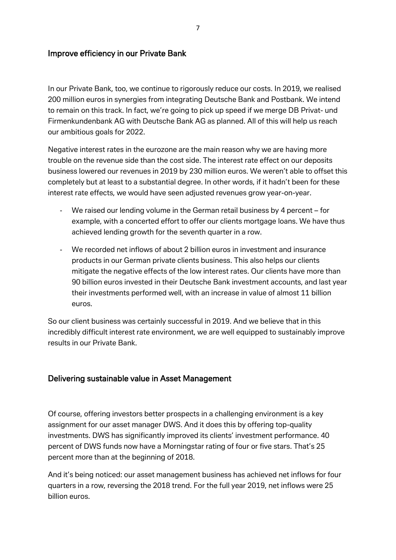### Improve efficiency in our Private Bank

In our Private Bank, too, we continue to rigorously reduce our costs. In 2019, we realised 200 million euros in synergies from integrating Deutsche Bank and Postbank. We intend to remain on this track. In fact, we're going to pick up speed if we merge DB Privat- und Firmenkundenbank AG with Deutsche Bank AG as planned. All of this will help us reach our ambitious goals for 2022.

Negative interest rates in the eurozone are the main reason why we are having more trouble on the revenue side than the cost side. The interest rate effect on our deposits business lowered our revenues in 2019 by 230 million euros. We weren't able to offset this completely but at least to a substantial degree. In other words, if it hadn't been for these interest rate effects, we would have seen adjusted revenues grow year-on-year.

- We raised our lending volume in the German retail business by 4 percent for example, with a concerted effort to offer our clients mortgage loans. We have thus achieved lending growth for the seventh quarter in a row.
- We recorded net inflows of about 2 billion euros in investment and insurance products in our German private clients business. This also helps our clients mitigate the negative effects of the low interest rates. Our clients have more than 90 billion euros invested in their Deutsche Bank investment accounts, and last year their investments performed well, with an increase in value of almost 11 billion euros.

So our client business was certainly successful in 2019. And we believe that in this incredibly difficult interest rate environment, we are well equipped to sustainably improve results in our Private Bank.

### Delivering sustainable value in Asset Management

Of course, offering investors better prospects in a challenging environment is a key assignment for our asset manager DWS. And it does this by offering top-quality investments. DWS has significantly improved its clients' investment performance. 40 percent of DWS funds now have a Morningstar rating of four or five stars. That's 25 percent more than at the beginning of 2018.

And it's being noticed: our asset management business has achieved net inflows for four quarters in a row, reversing the 2018 trend. For the full year 2019, net inflows were 25 billion euros.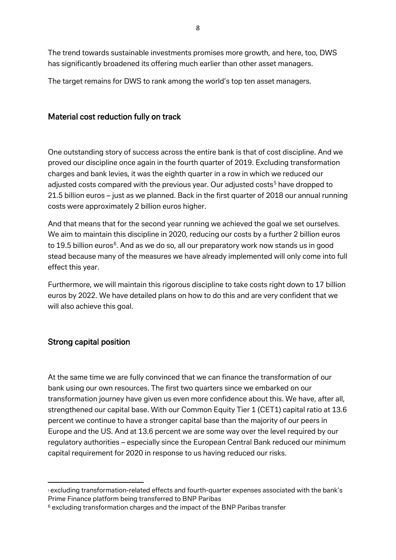The trend towards sustainable investments promises more growth, and here, too, DWS has significantly broadened its offering much earlier than other asset managers.

The target remains for DWS to rank among the world's top ten asset managers.

### Material cost reduction fully on track

One outstanding story of success across the entire bank is that of cost discipline. And we proved our discipline once again in the fourth quarter of 2019. Excluding transformation charges and bank levies, it was the eighth quarter in a row in which we reduced our adjusted costs compared with the previous year. Our adjusted costs<sup>[5](#page-7-0)</sup> have dropped to 21.5 billion euros – just as we planned. Back in the first quarter of 2018 our annual running costs were approximately 2 billion euros higher.

And that means that for the second year running we achieved the goal we set ourselves. We aim to maintain this discipline in 2020, reducing our costs by a further 2 billion euros to 19.5 billion euros<sup>[6](#page-7-1)</sup>. And as we do so, all our preparatory work now stands us in good stead because many of the measures we have already implemented will only come into full effect this year.

Furthermore, we will maintain this rigorous discipline to take costs right down to 17 billion euros by 2022. We have detailed plans on how to do this and are very confident that we will also achieve this goal.

### Strong capital position

 $\overline{a}$ 

At the same time we are fully convinced that we can finance the transformation of our bank using our own resources. The first two quarters since we embarked on our transformation journey have given us even more confidence about this. We have, after all, strengthened our capital base. With our Common Equity Tier 1 (CET1) capital ratio at 13.6 percent we continue to have a stronger capital base than the majority of our peers in Europe and the US. And at 13.6 percent we are some way over the level required by our regulatory authorities – especially since the European Central Bank reduced our minimum capital requirement for 2020 in response to us having reduced our risks.

<span id="page-7-0"></span>sexcluding transformation-related effects and fourth-quarter expenses associated with the bank's Prime Finance platform being transferred to BNP Paribas

<span id="page-7-1"></span><sup>6</sup> excluding transformation charges and the impact of the BNP Paribas transfer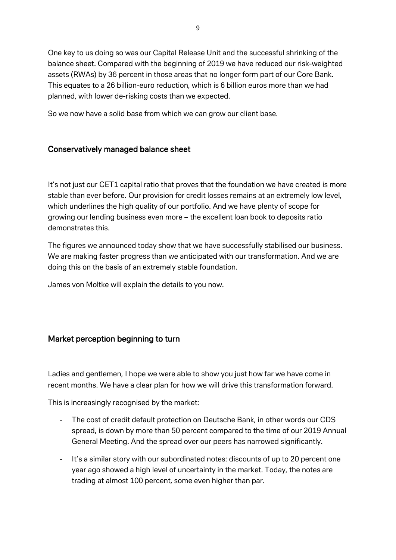One key to us doing so was our Capital Release Unit and the successful shrinking of the balance sheet. Compared with the beginning of 2019 we have reduced our risk-weighted assets (RWAs) by 36 percent in those areas that no longer form part of our Core Bank. This equates to a 26 billion-euro reduction, which is 6 billion euros more than we had planned, with lower de-risking costs than we expected.

So we now have a solid base from which we can grow our client base.

## Conservatively managed balance sheet

It's not just our CET1 capital ratio that proves that the foundation we have created is more stable than ever before. Our provision for credit losses remains at an extremely low level, which underlines the high quality of our portfolio. And we have plenty of scope for growing our lending business even more – the excellent loan book to deposits ratio demonstrates this.

The figures we announced today show that we have successfully stabilised our business. We are making faster progress than we anticipated with our transformation. And we are doing this on the basis of an extremely stable foundation.

James von Moltke will explain the details to you now.

## Market perception beginning to turn

Ladies and gentlemen, I hope we were able to show you just how far we have come in recent months. We have a clear plan for how we will drive this transformation forward.

This is increasingly recognised by the market:

- The cost of credit default protection on Deutsche Bank, in other words our CDS spread, is down by more than 50 percent compared to the time of our 2019 Annual General Meeting. And the spread over our peers has narrowed significantly.
- It's a similar story with our subordinated notes: discounts of up to 20 percent one year ago showed a high level of uncertainty in the market. Today, the notes are trading at almost 100 percent, some even higher than par.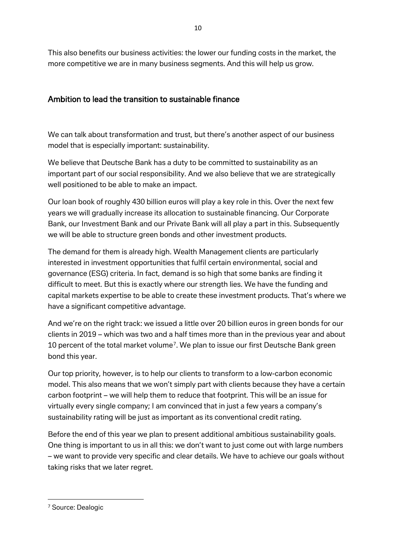This also benefits our business activities: the lower our funding costs in the market, the more competitive we are in many business segments. And this will help us grow.

# Ambition to lead the transition to sustainable finance

We can talk about transformation and trust, but there's another aspect of our business model that is especially important: sustainability.

We believe that Deutsche Bank has a duty to be committed to sustainability as an important part of our social responsibility. And we also believe that we are strategically well positioned to be able to make an impact.

Our loan book of roughly 430 billion euros will play a key role in this. Over the next few years we will gradually increase its allocation to sustainable financing. Our Corporate Bank, our Investment Bank and our Private Bank will all play a part in this. Subsequently we will be able to structure green bonds and other investment products.

The demand for them is already high. Wealth Management clients are particularly interested in investment opportunities that fulfil certain environmental, social and governance (ESG) criteria. In fact, demand is so high that some banks are finding it difficult to meet. But this is exactly where our strength lies. We have the funding and capital markets expertise to be able to create these investment products. That's where we have a significant competitive advantage.

And we're on the right track: we issued a little over 20 billion euros in green bonds for our clients in 2019 – which was two and a half times more than in the previous year and about 10 percent of the total market volume<sup>7</sup>. We plan to issue our first Deutsche Bank green bond this year.

Our top priority, however, is to help our clients to transform to a low-carbon economic model. This also means that we won't simply part with clients because they have a certain carbon footprint – we will help them to reduce that footprint. This will be an issue for virtually every single company; I am convinced that in just a few years a company's sustainability rating will be just as important as its conventional credit rating.

Before the end of this year we plan to present additional ambitious sustainability goals. One thing is important to us in all this: we don't want to just come out with large numbers – we want to provide very specific and clear details. We have to achieve our goals without taking risks that we later regret.

**.** 

<span id="page-9-0"></span><sup>7</sup> Source: Dealogic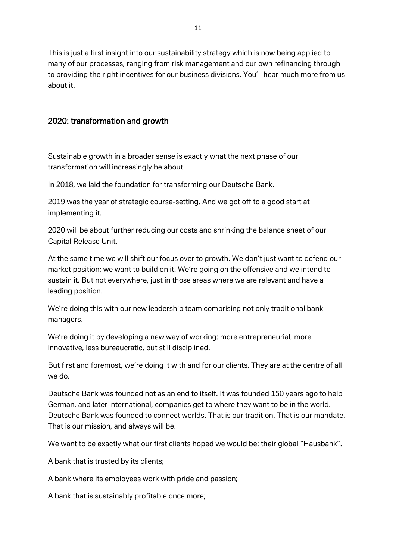11

This is just a first insight into our sustainability strategy which is now being applied to many of our processes, ranging from risk management and our own refinancing through to providing the right incentives for our business divisions. You'll hear much more from us about it.

## 2020: transformation and growth

Sustainable growth in a broader sense is exactly what the next phase of our transformation will increasingly be about.

In 2018, we laid the foundation for transforming our Deutsche Bank.

2019 was the year of strategic course-setting. And we got off to a good start at implementing it.

2020 will be about further reducing our costs and shrinking the balance sheet of our Capital Release Unit.

At the same time we will shift our focus over to growth. We don't just want to defend our market position; we want to build on it. We're going on the offensive and we intend to sustain it. But not everywhere, just in those areas where we are relevant and have a leading position.

We're doing this with our new leadership team comprising not only traditional bank managers.

We're doing it by developing a new way of working: more entrepreneurial, more innovative, less bureaucratic, but still disciplined.

But first and foremost, we're doing it with and for our clients. They are at the centre of all we do.

Deutsche Bank was founded not as an end to itself. It was founded 150 years ago to help German, and later international, companies get to where they want to be in the world. Deutsche Bank was founded to connect worlds. That is our tradition. That is our mandate. That is our mission, and always will be.

We want to be exactly what our first clients hoped we would be: their global "Hausbank".

A bank that is trusted by its clients;

A bank where its employees work with pride and passion;

A bank that is sustainably profitable once more;